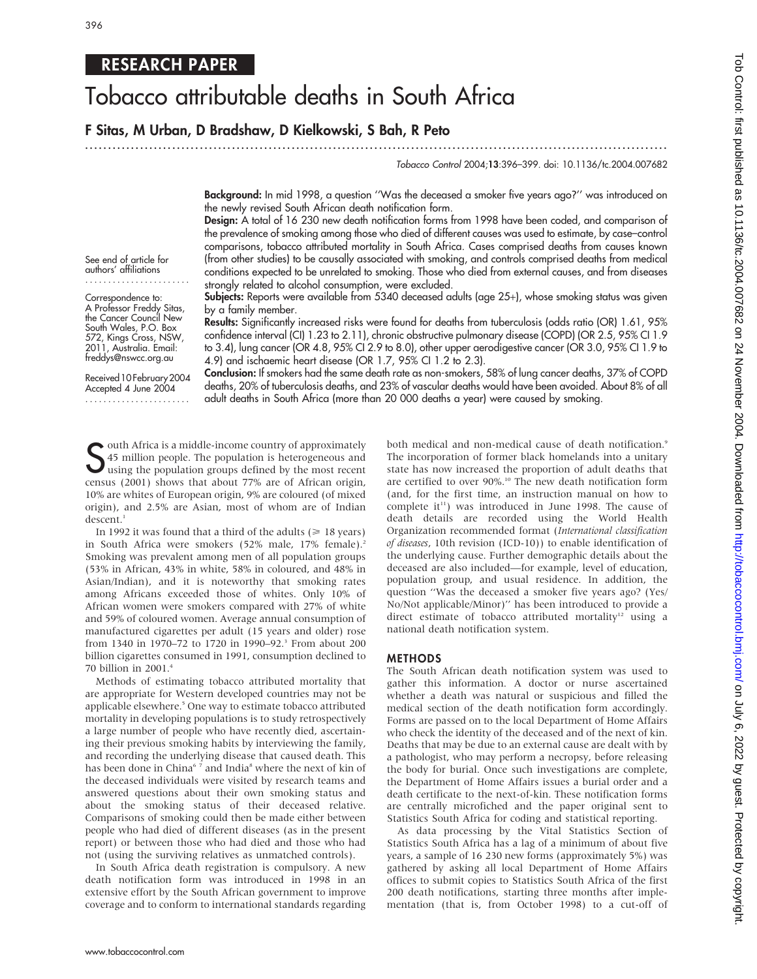## RESEARCH PAPER

# Tobacco attributable deaths in South Africa

F Sitas, M Urban, D Bradshaw, D Kielkowski, S Bah, R Peto

by a family member.

...............................................................................................................................

Tobacco Control 2004;13:396–399. doi: 10.1136/tc.2004.007682

Background: In mid 1998, a question ''Was the deceased a smoker five years ago?'' was introduced on the newly revised South African death notification form.

Design: A total of 16 230 new death notification forms from 1998 have been coded, and comparison of the prevalence of smoking among those who died of different causes was used to estimate, by case–control comparisons, tobacco attributed mortality in South Africa. Cases comprised deaths from causes known (from other studies) to be causally associated with smoking, and controls comprised deaths from medical conditions expected to be unrelated to smoking. Those who died from external causes, and from diseases strongly related to alcohol consumption, were excluded.

Subjects: Reports were available from 5340 deceased adults (age 25+), whose smoking status was given

See end of article for authors' affiliations .......................

Correspondence to: A Professor Freddy Sitas, the Cancer Council New South Wales, P.O. Box 572, Kings Cross, NSW, 2011, Australia. Email: freddys@nswcc.org.au

Results: Significantly increased risks were found for deaths from tuberculosis (odds ratio (OR) 1.61, 95% confidence interval (CI) 1.23 to 2.11), chronic obstructive pulmonary disease (COPD) (OR 2.5, 95% CI 1.9 to 3.4), lung cancer (OR 4.8, 95% CI 2.9 to 8.0), other upper aerodigestive cancer (OR 3.0, 95% CI 1.9 to 4.9) and ischaemic heart disease (OR 1.7, 95% CI 1.2 to 2.3).

Received 10 February 2004 Accepted 4 June 2004 .......................

Conclusion: If smokers had the same death rate as non-smokers, 58% of lung cancer deaths, 37% of COPD deaths, 20% of tuberculosis deaths, and 23% of vascular deaths would have been avoided. About 8% of all adult deaths in South Africa (more than 20 000 deaths a year) were caused by smoking.

**S** outh Africa is a middle-income country of approximately<br>45 million people. The population is heterogeneous and<br>using the population groups defined by the most recent<br>sensue (2001) shows that about  $77\%$  are of Africa 45 million people. The population is heterogeneous and using the population groups defined by the most recent census (2001) shows that about 77% are of African origin, 10% are whites of European origin, 9% are coloured (of mixed origin), and 2.5% are Asian, most of whom are of Indian descent.<sup>1</sup>

In 1992 it was found that a third of the adults ( $\geq 18$  years) in South Africa were smokers (52% male, 17% female).<sup>2</sup> Smoking was prevalent among men of all population groups (53% in African, 43% in white, 58% in coloured, and 48% in Asian/Indian), and it is noteworthy that smoking rates among Africans exceeded those of whites. Only 10% of African women were smokers compared with 27% of white and 59% of coloured women. Average annual consumption of manufactured cigarettes per adult (15 years and older) rose from 1340 in 1970–72 to 1720 in 1990–92.3 From about 200 billion cigarettes consumed in 1991, consumption declined to 70 billion in 2001.4

Methods of estimating tobacco attributed mortality that are appropriate for Western developed countries may not be applicable elsewhere.<sup>5</sup> One way to estimate tobacco attributed mortality in developing populations is to study retrospectively a large number of people who have recently died, ascertaining their previous smoking habits by interviewing the family, and recording the underlying disease that caused death. This has been done in China<sup>67</sup> and India<sup>8</sup> where the next of kin of the deceased individuals were visited by research teams and answered questions about their own smoking status and about the smoking status of their deceased relative. Comparisons of smoking could then be made either between people who had died of different diseases (as in the present report) or between those who had died and those who had not (using the surviving relatives as unmatched controls).

In South Africa death registration is compulsory. A new death notification form was introduced in 1998 in an extensive effort by the South African government to improve coverage and to conform to international standards regarding both medical and non-medical cause of death notification.<sup>9</sup> The incorporation of former black homelands into a unitary state has now increased the proportion of adult deaths that are certified to over 90%.<sup>10</sup> The new death notification form (and, for the first time, an instruction manual on how to complete it $11$ ) was introduced in June 1998. The cause of death details are recorded using the World Health Organization recommended format (International classification of diseases, 10th revision (ICD-10)) to enable identification of the underlying cause. Further demographic details about the deceased are also included—for example, level of education, population group, and usual residence. In addition, the question ''Was the deceased a smoker five years ago? (Yes/ No/Not applicable/Minor)'' has been introduced to provide a direct estimate of tobacco attributed mortality<sup>12</sup> using a national death notification system.

#### METHODS

The South African death notification system was used to gather this information. A doctor or nurse ascertained whether a death was natural or suspicious and filled the medical section of the death notification form accordingly. Forms are passed on to the local Department of Home Affairs who check the identity of the deceased and of the next of kin. Deaths that may be due to an external cause are dealt with by a pathologist, who may perform a necropsy, before releasing the body for burial. Once such investigations are complete, the Department of Home Affairs issues a burial order and a death certificate to the next-of-kin. These notification forms are centrally microfiched and the paper original sent to Statistics South Africa for coding and statistical reporting.

As data processing by the Vital Statistics Section of Statistics South Africa has a lag of a minimum of about five years, a sample of 16 230 new forms (approximately 5%) was gathered by asking all local Department of Home Affairs offices to submit copies to Statistics South Africa of the first 200 death notifications, starting three months after implementation (that is, from October 1998) to a cut-off of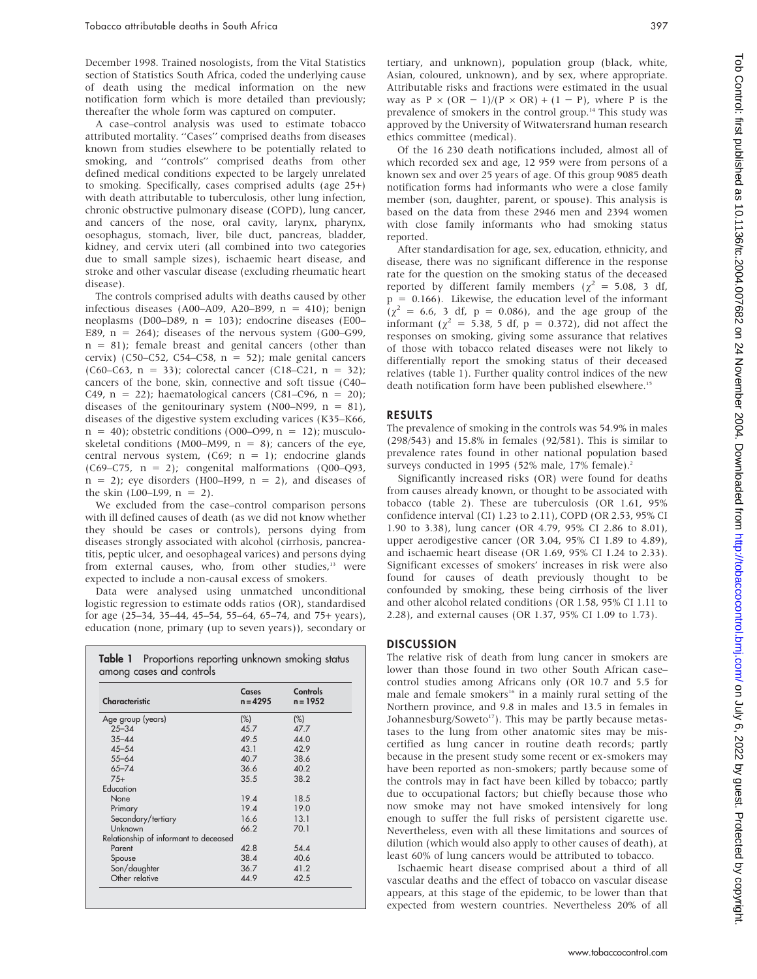December 1998. Trained nosologists, from the Vital Statistics section of Statistics South Africa, coded the underlying cause of death using the medical information on the new notification form which is more detailed than previously; thereafter the whole form was captured on computer.

A case–control analysis was used to estimate tobacco attributed mortality. ''Cases'' comprised deaths from diseases known from studies elsewhere to be potentially related to smoking, and ''controls'' comprised deaths from other defined medical conditions expected to be largely unrelated to smoking. Specifically, cases comprised adults (age 25+) with death attributable to tuberculosis, other lung infection, chronic obstructive pulmonary disease (COPD), lung cancer, and cancers of the nose, oral cavity, larynx, pharynx, oesophagus, stomach, liver, bile duct, pancreas, bladder, kidney, and cervix uteri (all combined into two categories due to small sample sizes), ischaemic heart disease, and stroke and other vascular disease (excluding rheumatic heart disease).

The controls comprised adults with deaths caused by other infectious diseases (A00–A09, A20–B99,  $n = 410$ ); benign neoplasms (D00-D89,  $n = 103$ ); endocrine diseases (E00-E89,  $n = 264$ ); diseases of the nervous system (G00–G99,  $n = 81$ ); female breast and genital cancers (other than cervix) (C50–C52, C54–C58,  $n = 52$ ); male genital cancers (C60–C63, n = 33); colorectal cancer (C18–C21, n = 32); cancers of the bone, skin, connective and soft tissue (C40– C49,  $n = 22$ ); haematological cancers (C81-C96,  $n = 20$ ); diseases of the genitourinary system (N00–N99,  $n = 81$ ), diseases of the digestive system excluding varices (K35–K66,  $n = 40$ ; obstetric conditions (O00–O99,  $n = 12$ ); musculoskeletal conditions (M00–M99,  $n = 8$ ); cancers of the eye, central nervous system,  $(C69; n = 1)$ ; endocrine glands (C69–C75,  $n = 2$ ); congenital malformations (Q00–Q93,  $n = 2$ ); eye disorders (H00–H99,  $n = 2$ ), and diseases of the skin  $(L00–L99, n = 2)$ .

We excluded from the case–control comparison persons with ill defined causes of death (as we did not know whether they should be cases or controls), persons dying from diseases strongly associated with alcohol (cirrhosis, pancreatitis, peptic ulcer, and oesophageal varices) and persons dying from external causes, who, from other studies,<sup>13</sup> were expected to include a non-causal excess of smokers.

Data were analysed using unmatched unconditional logistic regression to estimate odds ratios (OR), standardised for age (25–34, 35–44, 45–54, 55–64, 65–74, and 75+ years), education (none, primary (up to seven years)), secondary or

| Characteristic                        | Cases<br>$n = 4295$ | Controls<br>$n = 1952$ |
|---------------------------------------|---------------------|------------------------|
| Age group (years)                     | (%)                 | (%)                    |
| $25 - 34$                             | 45.7                | 47.7                   |
| $35 - 44$                             | 49.5                | 44.0                   |
| $45 - 54$                             | 43.1                | 42.9                   |
| $55 - 64$                             | 40.7                | 38.6                   |
| $65 - 74$                             | 36.6                | 40.2                   |
| $75+$                                 | 35.5                | 38.2                   |
| Education                             |                     |                        |
| None                                  | 19.4                | 18.5                   |
| Primary                               | 19.4                | 19.0                   |
| Secondary/tertiary                    | 16.6                | 13.1                   |
| Unknown                               | 66.2                | 70.1                   |
| Relationship of informant to deceased |                     |                        |
| Parent                                | 42.8                | 54.4                   |
| Spouse                                | 38.4                | 40.6                   |
| Son/daughter                          | 36.7                | 41.2                   |
| Other relative                        | 44.9                | 42.5                   |

tertiary, and unknown), population group (black, white, Asian, coloured, unknown), and by sex, where appropriate. Attributable risks and fractions were estimated in the usual way as  $P \times (OR - 1)/(P \times OR) + (1 - P)$ , where P is the prevalence of smokers in the control group.14 This study was approved by the University of Witwatersrand human research ethics committee (medical).

Of the 16 230 death notifications included, almost all of which recorded sex and age, 12 959 were from persons of a known sex and over 25 years of age. Of this group 9085 death notification forms had informants who were a close family member (son, daughter, parent, or spouse). This analysis is based on the data from these 2946 men and 2394 women with close family informants who had smoking status reported.

After standardisation for age, sex, education, ethnicity, and disease, there was no significant difference in the response rate for the question on the smoking status of the deceased reported by different family members ( $\chi^2$  = 5.08, 3 df,  $p = 0.166$ ). Likewise, the education level of the informant  $(\chi^2 = 6.6, 3$  df, p = 0.086), and the age group of the informant ( $\chi^2$  = 5.38, 5 df, p = 0.372), did not affect the responses on smoking, giving some assurance that relatives of those with tobacco related diseases were not likely to differentially report the smoking status of their deceased relatives (table 1). Further quality control indices of the new death notification form have been published elsewhere.<sup>15</sup>

#### RESULTS

The prevalence of smoking in the controls was 54.9% in males (298/543) and 15.8% in females (92/581). This is similar to prevalence rates found in other national population based surveys conducted in 1995 (52% male, 17% female).<sup>2</sup>

Significantly increased risks (OR) were found for deaths from causes already known, or thought to be associated with tobacco (table 2). These are tuberculosis (OR 1.61, 95% confidence interval (CI) 1.23 to 2.11), COPD (OR 2.53, 95% CI 1.90 to 3.38), lung cancer (OR 4.79, 95% CI 2.86 to 8.01), upper aerodigestive cancer (OR 3.04, 95% CI 1.89 to 4.89), and ischaemic heart disease (OR 1.69, 95% CI 1.24 to 2.33). Significant excesses of smokers' increases in risk were also found for causes of death previously thought to be confounded by smoking, these being cirrhosis of the liver and other alcohol related conditions (OR 1.58, 95% CI 1.11 to 2.28), and external causes (OR 1.37, 95% CI 1.09 to 1.73).

#### **DISCUSSION**

The relative risk of death from lung cancer in smokers are lower than those found in two other South African case– control studies among Africans only (OR 10.7 and 5.5 for male and female smokers<sup>16</sup> in a mainly rural setting of the Northern province, and 9.8 in males and 13.5 in females in Johannesburg/Soweto<sup>17</sup>). This may be partly because metastases to the lung from other anatomic sites may be miscertified as lung cancer in routine death records; partly because in the present study some recent or ex-smokers may have been reported as non-smokers; partly because some of the controls may in fact have been killed by tobacco; partly due to occupational factors; but chiefly because those who now smoke may not have smoked intensively for long enough to suffer the full risks of persistent cigarette use. Nevertheless, even with all these limitations and sources of dilution (which would also apply to other causes of death), at least 60% of lung cancers would be attributed to tobacco.

Ischaemic heart disease comprised about a third of all vascular deaths and the effect of tobacco on vascular disease appears, at this stage of the epidemic, to be lower than that expected from western countries. Nevertheless 20% of all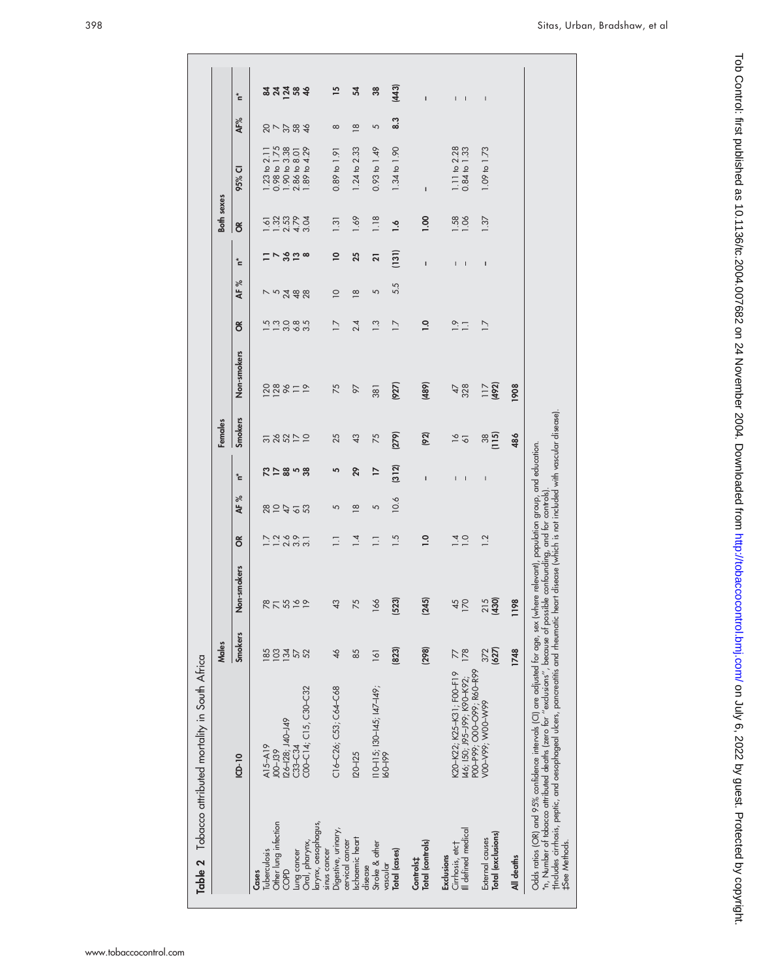|                                     | Table 2 Tobacco attributed mortality in South Africa                                                                                                                                                                                                                                                                                        |                |                                                              |                  |               |                 |                 |                  |                  |               |                  |                       |                                                                                                       |               |                    |
|-------------------------------------|---------------------------------------------------------------------------------------------------------------------------------------------------------------------------------------------------------------------------------------------------------------------------------------------------------------------------------------------|----------------|--------------------------------------------------------------|------------------|---------------|-----------------|-----------------|------------------|------------------|---------------|------------------|-----------------------|-------------------------------------------------------------------------------------------------------|---------------|--------------------|
|                                     |                                                                                                                                                                                                                                                                                                                                             | <b>Males</b>   |                                                              |                  |               |                 | Females         |                  |                  |               |                  | <b>Both</b> sexes     |                                                                                                       |               |                    |
|                                     | <b>ICD-10</b>                                                                                                                                                                                                                                                                                                                               | <b>Smokers</b> | Non-smokers                                                  | õ                | ಸಿ<br>₹       | ្ទឹ             | <b>Smokers</b>  | Non-smokers      | õ                | ಸಿ<br>₹       | ្ទឹ              | ð                     | 95% CI                                                                                                | AF%           | $\mathbf{\hat{c}}$ |
| Cases                               |                                                                                                                                                                                                                                                                                                                                             |                |                                                              |                  |               |                 |                 |                  |                  |               |                  |                       |                                                                                                       |               |                    |
| Tuberculosis                        | A15-A19                                                                                                                                                                                                                                                                                                                                     | 185            |                                                              |                  |               |                 |                 |                  |                  |               |                  |                       |                                                                                                       |               |                    |
| Other lung infection                | JOO-J39                                                                                                                                                                                                                                                                                                                                     | 103            |                                                              |                  |               |                 |                 |                  |                  |               |                  |                       | $1.23$ to $2.11$<br>0.98 to $1.75$                                                                    |               |                    |
| COPD                                | 126-128; J40-J49                                                                                                                                                                                                                                                                                                                            |                |                                                              |                  |               |                 |                 |                  |                  |               |                  |                       |                                                                                                       |               |                    |
|                                     | $C33-C34$                                                                                                                                                                                                                                                                                                                                   |                |                                                              |                  |               |                 |                 |                  |                  |               |                  |                       | $3.38$<br>8.01                                                                                        |               |                    |
| Oral, pharynx,<br>Lung cancer       | $COO-C14; C15, C3O-C32$                                                                                                                                                                                                                                                                                                                     | 1352           | RF522                                                        | 122001<br>112001 | 82453         | $R \simeq 28.5$ | 38822           | $888 = 2$        | 121085<br>121085 | 75288         | ⊏ົລສ             | 1<br>123523<br>113723 | 4.29<br>$\begin{array}{c} 1.90 \text{ to } 3 \\ 2.86 \text{ to } 8 \\ 1.89 \text{ to } 4 \end{array}$ | 27584         | <u>ង ដ ដ ឌ ន ទ</u> |
| larynx, oesophagus,                 |                                                                                                                                                                                                                                                                                                                                             |                |                                                              |                  |               |                 |                 |                  |                  |               |                  |                       |                                                                                                       |               |                    |
| Digestive, urinary,<br>sinus cancer | $C16-C26$ ; $C53$ ; $C64-C68$                                                                                                                                                                                                                                                                                                               | 46             | $\frac{1}{3}$                                                | Ξ                | 5             | 5               | 25              | 75               | $\overline{1}$ . | $\supseteq$   | $\overline{a}$   | $\overline{1.31}$     | $0.89 \text{ to } 1.91$                                                                               | $\infty$      | 15                 |
| cervical cancer                     |                                                                                                                                                                                                                                                                                                                                             |                |                                                              |                  |               |                 |                 |                  |                  |               |                  |                       |                                                                                                       |               |                    |
| Ischaemic heart                     | $120 - 125$                                                                                                                                                                                                                                                                                                                                 | 85             | 75                                                           | $\overline{14}$  | $\frac{8}{1}$ | 29              | $\frac{1}{2}$   | 26               | 2.4              | $\frac{8}{1}$ | 25               | 1.69                  | $1.24$ to $2.33$                                                                                      | $\frac{8}{1}$ | 24                 |
| Stroke & other<br>disease           | $110 - 115$ ; $130 - 145$ ; $147 - 149$ ;                                                                                                                                                                                                                                                                                                   | 161            | $\delta$                                                     | $\overline{1}$   | 5             | $\overline{a}$  | 75              | 381              | $\frac{3}{2}$    | 5             | 21               | 1.18                  | 0.93 <sub>to</sub> 1.49                                                                               | 5             | 38                 |
| vascular                            | 160-199                                                                                                                                                                                                                                                                                                                                     |                |                                                              |                  |               |                 |                 |                  |                  |               |                  |                       |                                                                                                       |               |                    |
| Total (cases)                       |                                                                                                                                                                                                                                                                                                                                             | (823)          | (523)                                                        | 1.5              | 10.6          | (312)           | (279)           | (927)            | 1.7              | 5.5           | $\overline{131}$ | $\ddot{ }$ .6         | 1.34 to 1.90                                                                                          | 8.3           | (443)              |
| Controls‡                           |                                                                                                                                                                                                                                                                                                                                             |                |                                                              |                  |               |                 |                 |                  |                  |               |                  |                       |                                                                                                       |               |                    |
| Total (controls)                    |                                                                                                                                                                                                                                                                                                                                             | (298)          | (245)                                                        | $\overline{1.0}$ |               | $\mathbf{I}$    | (62)            | (489)            | $\overline{1.0}$ |               | $\mathbf{I}$     | 00.1                  | $\mathbf{I}$                                                                                          |               | $\mathbf{I}$       |
| Exclusions                          |                                                                                                                                                                                                                                                                                                                                             |                |                                                              |                  |               |                 |                 |                  |                  |               |                  |                       |                                                                                                       |               |                    |
| Cirrhosis, etct                     | K20-K22; K25-K31; F00-F19                                                                                                                                                                                                                                                                                                                   | $\overline{z}$ | $\frac{45}{20}$                                              | $\frac{4}{0}$    |               | $\mathbf{I}$    | $rac{6}{6}$     | 47<br>328        | $\frac{0}{1}$ .  |               | $\mathbf{I}$     | $1.58$<br>$1.06$      | $\frac{1.11 \text{ to } 2.28}{0.84 \text{ to } 1.33}$                                                 |               | $\vert \ \ \vert$  |
| Ill defined medical                 | I46; I50; J95-J99; K90-K92;                                                                                                                                                                                                                                                                                                                 | 178            |                                                              |                  |               |                 |                 |                  |                  |               |                  |                       |                                                                                                       |               |                    |
| External causes                     | POO-P99; OOO-O99; R60-R99<br>V00-V99Y, W00-VV99                                                                                                                                                                                                                                                                                             | 372            | 215                                                          | 1.2              |               | I               |                 |                  | $\overline{1}$ . |               | $\mathbf{I}$     | .37                   | 1.09 to 1.73                                                                                          |               | I                  |
| Total (exclusions)                  |                                                                                                                                                                                                                                                                                                                                             | (627)          | (430)                                                        |                  |               |                 | $\frac{38}{15}$ | $\frac{17}{492}$ |                  |               |                  |                       |                                                                                                       |               |                    |
|                                     |                                                                                                                                                                                                                                                                                                                                             |                |                                                              |                  |               |                 |                 |                  |                  |               |                  |                       |                                                                                                       |               |                    |
| All deaths                          |                                                                                                                                                                                                                                                                                                                                             | 1748           | 198                                                          |                  |               |                 | 486             | 1908             |                  |               |                  |                       |                                                                                                       |               |                    |
| tSee Methods.                       | Odds ratios (OR) and 95% confidence intervals (CI) are adjusted for age, sex (where relevant), population group, and education.<br>*n, Number of tobacco attributed deaths (zero for "exclusions", because of possible confounding, and for controls)<br>t includes cirrhosis, peptic, and oesophageal ulcers, pancreatitis and rheumatic l |                | heart disease (which is not included with vascular disease). |                  |               |                 |                 |                  |                  |               |                  |                       |                                                                                                       |               |                    |